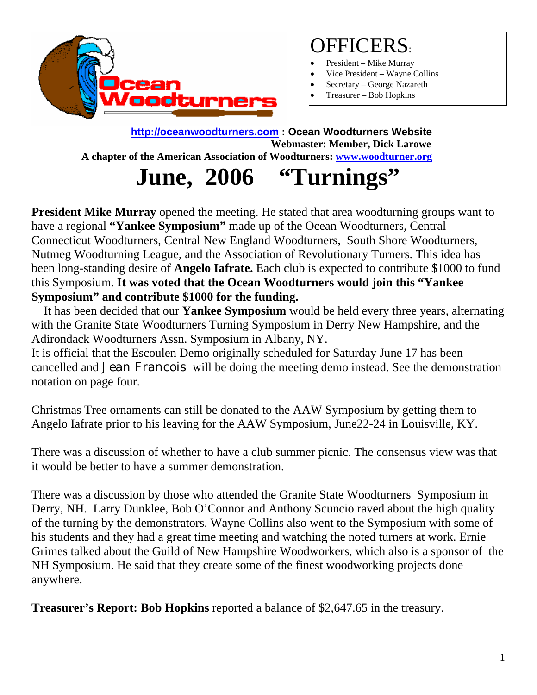

### OFFICERS:

- President Mike Murray
- Vice President Wayne Collins
- Secretary George Nazareth
- Treasurer Bob Hopkins

**[http://oceanwoodturners.com](http://oceanwoodturners.com/) : Ocean Woodturners Website Webmaster: Member, Dick Larowe A chapter of the American Association of Woodturners: [www.woodturner.org](http://www.woodturner.org/)** 

## **June, 2006 "Turnings"**

**President Mike Murray** opened the meeting. He stated that area woodturning groups want to have a regional **"Yankee Symposium"** made up of the Ocean Woodturners, Central Connecticut Woodturners, Central New England Woodturners, South Shore Woodturners, Nutmeg Woodturning League, and the Association of Revolutionary Turners. This idea has been long-standing desire of **Angelo Iafrate.** Each club is expected to contribute \$1000 to fund this Symposium. **It was voted that the Ocean Woodturners would join this "Yankee Symposium" and contribute \$1000 for the funding.** 

It has been decided that our **Yankee Symposium** would be held every three years, alternating with the Granite State Woodturners Turning Symposium in Derry New Hampshire, and the Adirondack Woodturners Assn. Symposium in Albany, NY.

It is official that the Escoulen Demo originally scheduled for Saturday June 17 has been cancelled and Jean Francois will be doing the meeting demo instead. See the demonstration notation on page four.

Christmas Tree ornaments can still be donated to the AAW Symposium by getting them to Angelo Iafrate prior to his leaving for the AAW Symposium, June22-24 in Louisville, KY.

There was a discussion of whether to have a club summer picnic. The consensus view was that it would be better to have a summer demonstration.

There was a discussion by those who attended the Granite State Woodturners Symposium in Derry, NH. Larry Dunklee, Bob O'Connor and Anthony Scuncio raved about the high quality of the turning by the demonstrators. Wayne Collins also went to the Symposium with some of his students and they had a great time meeting and watching the noted turners at work. Ernie Grimes talked about the Guild of New Hampshire Woodworkers, which also is a sponsor of the NH Symposium. He said that they create some of the finest woodworking projects done anywhere.

**Treasurer's Report: Bob Hopkins** reported a balance of \$2,647.65 in the treasury.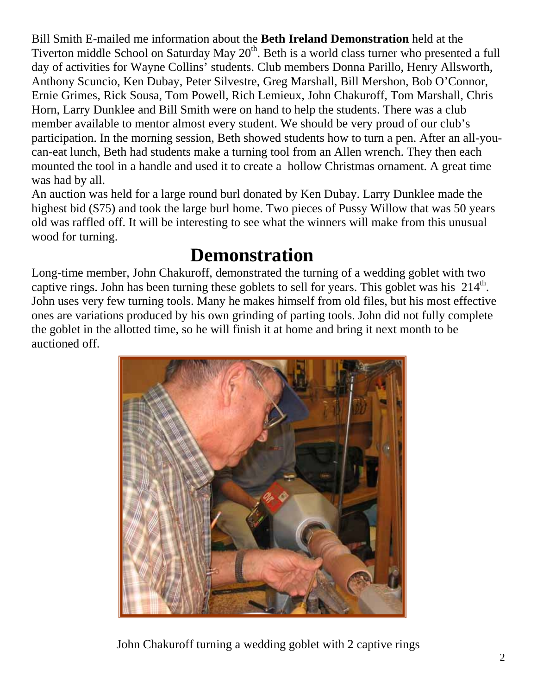Bill Smith E-mailed me information about the **Beth Ireland Demonstration** held at the Tiverton middle School on Saturday May 20<sup>th</sup>. Beth is a world class turner who presented a full day of activities for Wayne Collins' students. Club members Donna Parillo, Henry Allsworth, Anthony Scuncio, Ken Dubay, Peter Silvestre, Greg Marshall, Bill Mershon, Bob O'Connor, Ernie Grimes, Rick Sousa, Tom Powell, Rich Lemieux, John Chakuroff, Tom Marshall, Chris Horn, Larry Dunklee and Bill Smith were on hand to help the students. There was a club member available to mentor almost every student. We should be very proud of our club's participation. In the morning session, Beth showed students how to turn a pen. After an all-youcan-eat lunch, Beth had students make a turning tool from an Allen wrench. They then each mounted the tool in a handle and used it to create a hollow Christmas ornament. A great time was had by all.

An auction was held for a large round burl donated by Ken Dubay. Larry Dunklee made the highest bid (\$75) and took the large burl home. Two pieces of Pussy Willow that was 50 years old was raffled off. It will be interesting to see what the winners will make from this unusual wood for turning.

#### **Demonstration**

Long-time member, John Chakuroff, demonstrated the turning of a wedding goblet with two captive rings. John has been turning these goblets to sell for years. This goblet was his 214<sup>th</sup>. John uses very few turning tools. Many he makes himself from old files, but his most effective ones are variations produced by his own grinding of parting tools. John did not fully complete the goblet in the allotted time, so he will finish it at home and bring it next month to be auctioned off.



John Chakuroff turning a wedding goblet with 2 captive rings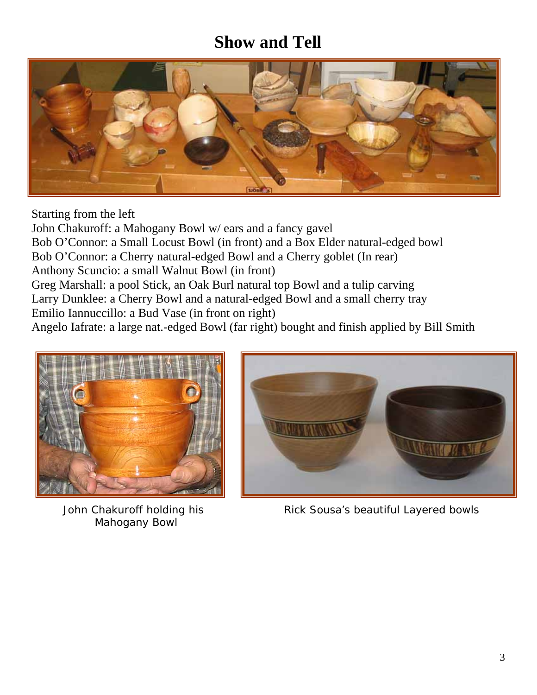#### **Show and Tell**



Starting from the left John Chakuroff: a Mahogany Bowl w/ ears and a fancy gavel Bob O'Connor: a Small Locust Bowl (in front) and a Box Elder natural-edged bowl Bob O'Connor: a Cherry natural-edged Bowl and a Cherry goblet (In rear) Anthony Scuncio: a small Walnut Bowl (in front) Greg Marshall: a pool Stick, an Oak Burl natural top Bowl and a tulip carving Larry Dunklee: a Cherry Bowl and a natural-edged Bowl and a small cherry tray Emilio Iannuccillo: a Bud Vase (in front on right) Angelo Iafrate: a large nat.-edged Bowl (far right) bought and finish applied by Bill Smith



Mahogany Bowl



John Chakuroff holding his **Rick Sousa's beautiful Layered bowls**